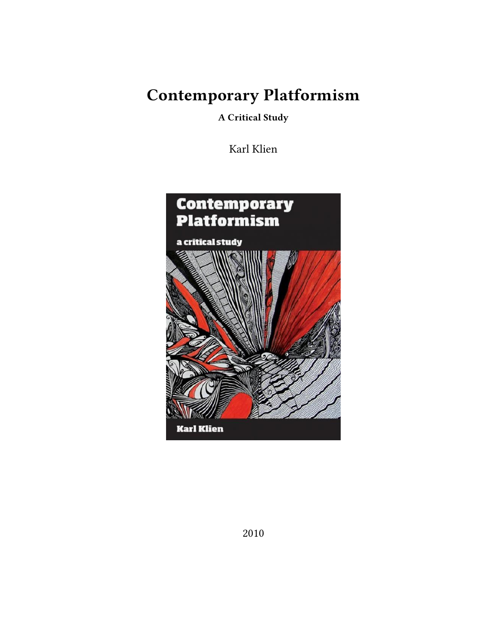**Contemporary Platformism**

**A Critical Study**

Karl Klien

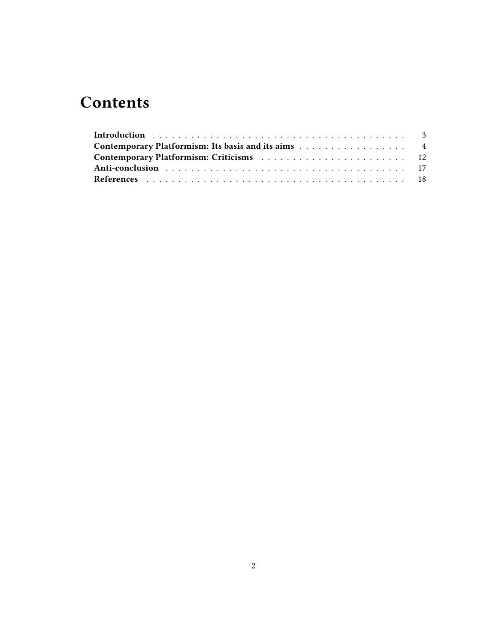# **Contents**

| Contemporary Platformism: Its basis and its aims 4 |  |  |  |  |  |  |  |
|----------------------------------------------------|--|--|--|--|--|--|--|
|                                                    |  |  |  |  |  |  |  |
|                                                    |  |  |  |  |  |  |  |
|                                                    |  |  |  |  |  |  |  |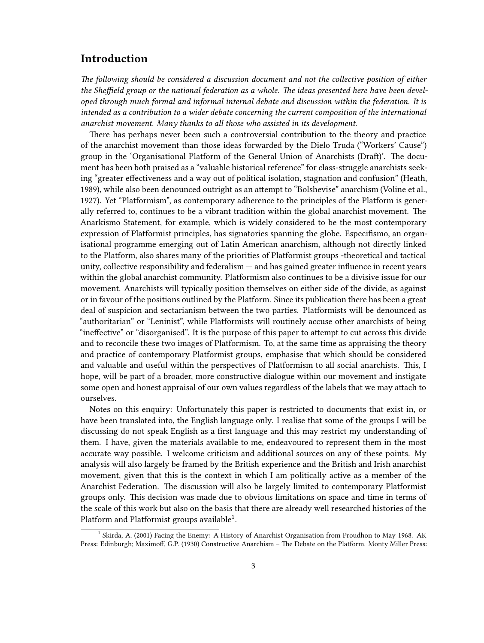### <span id="page-2-0"></span>**Introduction**

*The following should be considered a discussion document and not the collective position of either the Sheffield group or the national federation as a whole. The ideas presented here have been developed through much formal and informal internal debate and discussion within the federation. It is intended as a contribution to a wider debate concerning the current composition of the international anarchist movement. Many thanks to all those who assisted in its development.*

There has perhaps never been such a controversial contribution to the theory and practice of the anarchist movement than those ideas forwarded by the Dielo Truda ("Workers' Cause") group in the 'Organisational Platform of the General Union of Anarchists (Draft)'. The document has been both praised as a "valuable historical reference" for class-struggle anarchists seeking "greater effectiveness and a way out of political isolation, stagnation and confusion" (Heath, 1989), while also been denounced outright as an attempt to "Bolshevise" anarchism (Voline et al., 1927). Yet "Platformism", as contemporary adherence to the principles of the Platform is generally referred to, continues to be a vibrant tradition within the global anarchist movement. The Anarkismo Statement, for example, which is widely considered to be the most contemporary expression of Platformist principles, has signatories spanning the globe. Especifismo, an organisational programme emerging out of Latin American anarchism, although not directly linked to the Platform, also shares many of the priorities of Platformist groups -theoretical and tactical unity, collective responsibility and federalism — and has gained greater influence in recent years within the global anarchist community. Platformism also continues to be a divisive issue for our movement. Anarchists will typically position themselves on either side of the divide, as against or in favour of the positions outlined by the Platform. Since its publication there has been a great deal of suspicion and sectarianism between the two parties. Platformists will be denounced as "authoritarian" or "Leninist", while Platformists will routinely accuse other anarchists of being "ineffective" or "disorganised". It is the purpose of this paper to attempt to cut across this divide and to reconcile these two images of Platformism. To, at the same time as appraising the theory and practice of contemporary Platformist groups, emphasise that which should be considered and valuable and useful within the perspectives of Platformism to all social anarchists. This, I hope, will be part of a broader, more constructive dialogue within our movement and instigate some open and honest appraisal of our own values regardless of the labels that we may attach to ourselves.

Notes on this enquiry: Unfortunately this paper is restricted to documents that exist in, or have been translated into, the English language only. I realise that some of the groups I will be discussing do not speak English as a first language and this may restrict my understanding of them. I have, given the materials available to me, endeavoured to represent them in the most accurate way possible. I welcome criticism and additional sources on any of these points. My analysis will also largely be framed by the British experience and the British and Irish anarchist movement, given that this is the context in which I am politically active as a member of the Anarchist Federation. The discussion will also be largely limited to contemporary Platformist groups only. This decision was made due to obvious limitations on space and time in terms of the scale of this work but also on the basis that there are already well researched histories of the Platform and Platformist groups available $^1$ .

<sup>&</sup>lt;sup>1</sup> Skirda, A. (2001) Facing the Enemy: A History of Anarchist Organisation from Proudhon to May 1968. AK Press: Edinburgh; Maximoff, G.P. (1930) Constructive Anarchism – The Debate on the Platform. Monty Miller Press: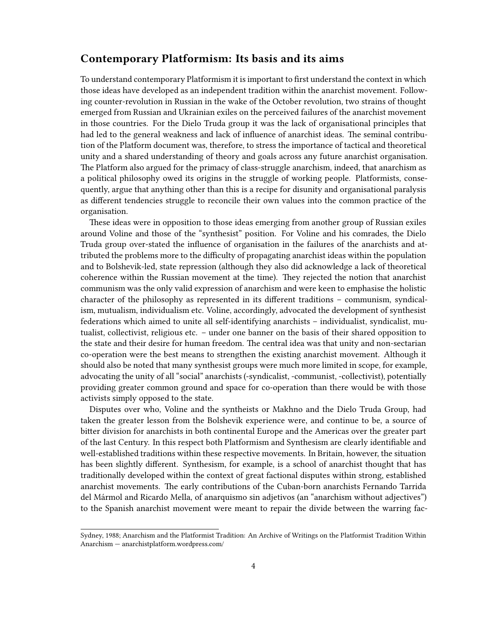#### <span id="page-3-0"></span>**Contemporary Platformism: Its basis and its aims**

To understand contemporary Platformism it is important to first understand the context in which those ideas have developed as an independent tradition within the anarchist movement. Following counter-revolution in Russian in the wake of the October revolution, two strains of thought emerged from Russian and Ukrainian exiles on the perceived failures of the anarchist movement in those countries. For the Dielo Truda group it was the lack of organisational principles that had led to the general weakness and lack of influence of anarchist ideas. The seminal contribution of the Platform document was, therefore, to stress the importance of tactical and theoretical unity and a shared understanding of theory and goals across any future anarchist organisation. The Platform also argued for the primacy of class-struggle anarchism, indeed, that anarchism as a political philosophy owed its origins in the struggle of working people. Platformists, consequently, argue that anything other than this is a recipe for disunity and organisational paralysis as different tendencies struggle to reconcile their own values into the common practice of the organisation.

These ideas were in opposition to those ideas emerging from another group of Russian exiles around Voline and those of the "synthesist" position. For Voline and his comrades, the Dielo Truda group over-stated the influence of organisation in the failures of the anarchists and attributed the problems more to the difficulty of propagating anarchist ideas within the population and to Bolshevik-led, state repression (although they also did acknowledge a lack of theoretical coherence within the Russian movement at the time). They rejected the notion that anarchist communism was the only valid expression of anarchism and were keen to emphasise the holistic character of the philosophy as represented in its different traditions – communism, syndicalism, mutualism, individualism etc. Voline, accordingly, advocated the development of synthesist federations which aimed to unite all self-identifying anarchists – individualist, syndicalist, mutualist, collectivist, religious etc. – under one banner on the basis of their shared opposition to the state and their desire for human freedom. The central idea was that unity and non-sectarian co-operation were the best means to strengthen the existing anarchist movement. Although it should also be noted that many synthesist groups were much more limited in scope, for example, advocating the unity of all "social" anarchists (-syndicalist, -communist, -collectivist), potentially providing greater common ground and space for co-operation than there would be with those activists simply opposed to the state.

Disputes over who, Voline and the syntheists or Makhno and the Dielo Truda Group, had taken the greater lesson from the Bolshevik experience were, and continue to be, a source of bitter division for anarchists in both continental Europe and the Americas over the greater part of the last Century. In this respect both Platformism and Synthesism are clearly identifiable and well-established traditions within these respective movements. In Britain, however, the situation has been slightly different. Synthesism, for example, is a school of anarchist thought that has traditionally developed within the context of great factional disputes within strong, established anarchist movements. The early contributions of the Cuban-born anarchists Fernando Tarrida del Mármol and Ricardo Mella, of anarquismo sin adjetivos (an "anarchism without adjectives") to the Spanish anarchist movement were meant to repair the divide between the warring fac-

Sydney, 1988; Anarchism and the Platformist Tradition: An Archive of Writings on the Platformist Tradition Within Anarchism — [anarchistplatform.wordpress.com/](http://anarchistplatform.wordpress.com)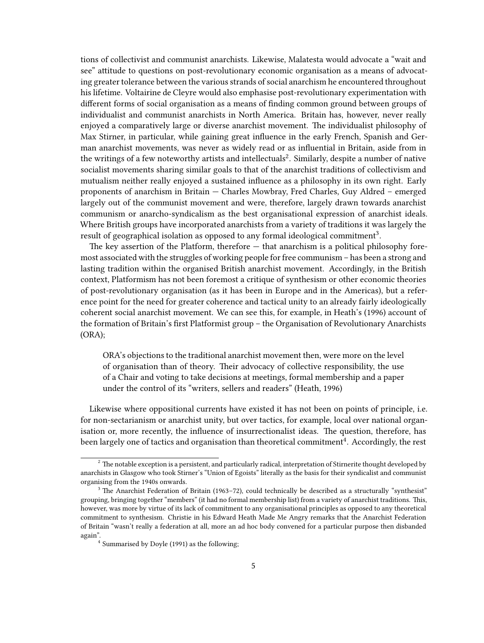tions of collectivist and communist anarchists. Likewise, Malatesta would advocate a "wait and see" attitude to questions on post-revolutionary economic organisation as a means of advocating greater tolerance between the various strands of social anarchism he encountered throughout his lifetime. Voltairine de Cleyre would also emphasise post-revolutionary experimentation with different forms of social organisation as a means of finding common ground between groups of individualist and communist anarchists in North America. Britain has, however, never really enjoyed a comparatively large or diverse anarchist movement. The individualist philosophy of Max Stirner, in particular, while gaining great influence in the early French, Spanish and German anarchist movements, was never as widely read or as influential in Britain, aside from in the writings of a few noteworthy artists and intellectuals<sup>2</sup>. Similarly, despite a number of native socialist movements sharing similar goals to that of the anarchist traditions of collectivism and mutualism neither really enjoyed a sustained influence as a philosophy in its own right. Early proponents of anarchism in Britain — Charles Mowbray, Fred Charles, Guy Aldred – emerged largely out of the communist movement and were, therefore, largely drawn towards anarchist communism or anarcho-syndicalism as the best organisational expression of anarchist ideals. Where British groups have incorporated anarchists from a variety of traditions it was largely the result of geographical isolation as opposed to any formal ideological commitment $^3.$ 

The key assertion of the Platform, therefore — that anarchism is a political philosophy foremost associated with the struggles of working people for free communism – has been a strong and lasting tradition within the organised British anarchist movement. Accordingly, in the British context, Platformism has not been foremost a critique of synthesism or other economic theories of post-revolutionary organisation (as it has been in Europe and in the Americas), but a reference point for the need for greater coherence and tactical unity to an already fairly ideologically coherent social anarchist movement. We can see this, for example, in Heath's (1996) account of the formation of Britain's first Platformist group – the Organisation of Revolutionary Anarchists (ORA);

ORA's objections to the traditional anarchist movement then, were more on the level of organisation than of theory. Their advocacy of collective responsibility, the use of a Chair and voting to take decisions at meetings, formal membership and a paper under the control of its "writers, sellers and readers" (Heath, 1996)

Likewise where oppositional currents have existed it has not been on points of principle, i.e. for non-sectarianism or anarchist unity, but over tactics, for example, local over national organisation or, more recently, the influence of insurrectionalist ideas. The question, therefore, has been largely one of tactics and organisation than theoretical commitment $^4$ . Accordingly, the rest

<sup>&</sup>lt;sup>2</sup> The notable exception is a persistent, and particularly radical, interpretation of Stirnerite thought developed by anarchists in Glasgow who took Stirner's "Union of Egoists" literally as the basis for their syndicalist and communist organising from the 1940s onwards.

<sup>&</sup>lt;sup>3</sup> The Anarchist Federation of Britain (1963–72), could technically be described as a structurally "synthesist" grouping, bringing together "members" (it had no formal membership list) from a variety of anarchist traditions. This, however, was more by virtue of its lack of commitment to any organisational principles as opposed to any theoretical commitment to synthesism. Christie in his Edward Heath Made Me Angry remarks that the Anarchist Federation of Britain "wasn't really a federation at all, more an ad hoc body convened for a particular purpose then disbanded again".

<sup>4</sup> Summarised by Doyle (1991) as the following;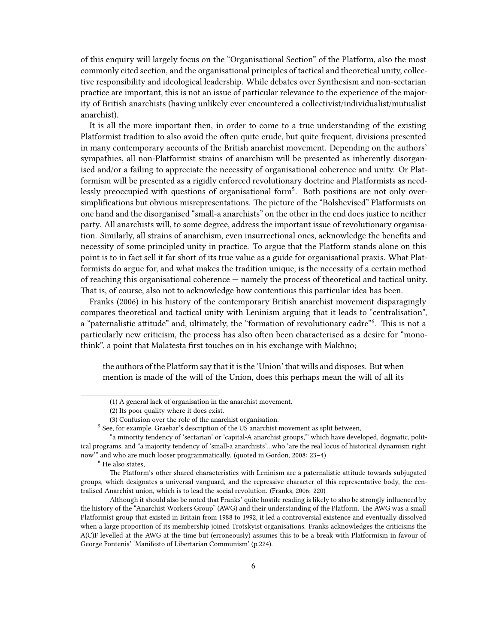of this enquiry will largely focus on the "Organisational Section" of the Platform, also the most commonly cited section, and the organisational principles of tactical and theoretical unity, collective responsibility and ideological leadership. While debates over Synthesism and non-sectarian practice are important, this is not an issue of particular relevance to the experience of the majority of British anarchists (having unlikely ever encountered a collectivist/individualist/mutualist anarchist).

It is all the more important then, in order to come to a true understanding of the existing Platformist tradition to also avoid the often quite crude, but quite frequent, divisions presented in many contemporary accounts of the British anarchist movement. Depending on the authors' sympathies, all non-Platformist strains of anarchism will be presented as inherently disorganised and/or a failing to appreciate the necessity of organisational coherence and unity. Or Platformism will be presented as a rigidly enforced revolutionary doctrine and Platformists as needlessly preoccupied with questions of organisational form<sup>5</sup>. Both positions are not only oversimplifications but obvious misrepresentations. The picture of the "Bolshevised" Platformists on one hand and the disorganised "small-a anarchists" on the other in the end does justice to neither party. All anarchists will, to some degree, address the important issue of revolutionary organisation. Similarly, all strains of anarchism, even insurrectional ones, acknowledge the benefits and necessity of some principled unity in practice. To argue that the Platform stands alone on this point is to in fact sell it far short of its true value as a guide for organisational praxis. What Platformists do argue for, and what makes the tradition unique, is the necessity of a certain method of reaching this organisational coherence — namely the process of theoretical and tactical unity. That is, of course, also not to acknowledge how contentious this particular idea has been.

Franks (2006) in his history of the contemporary British anarchist movement disparagingly compares theoretical and tactical unity with Leninism arguing that it leads to "centralisation", a "paternalistic attitude" and, ultimately, the "formation of revolutionary cadre"<sup>6</sup>. This is not a particularly new criticism, the process has also often been characterised as a desire for "monothink", a point that Malatesta first touches on in his exchange with Makhno;

the authors of the Platform say that it is the 'Union' that wills and disposes. But when mention is made of the will of the Union, does this perhaps mean the will of all its

<sup>6</sup> He also states,

<sup>(1)</sup> A general lack of organisation in the anarchist movement.

<sup>(2)</sup> Its poor quality where it does exist.

<sup>(3)</sup> Confusion over the role of the anarchist organisation.

<sup>&</sup>lt;sup>5</sup> See, for example, Graebar's description of the US anarchist movement as split between,

<sup>&</sup>quot;a minority tendency of 'sectarian' or 'capital-A anarchist groups,'" which have developed, dogmatic, political programs, and "a majority tendency of 'small-a anarchists'…who 'are the real locus of historical dynamism right now'" and who are much looser programmatically. (quoted in Gordon, 2008: 23–4)

The Platform's other shared characteristics with Leninism are a paternalistic attitude towards subjugated groups, which designates a universal vanguard, and the repressive character of this representative body, the centralised Anarchist union, which is to lead the social revolution. (Franks, 2006: 220)

Although it should also be noted that Franks' quite hostile reading is likely to also be strongly influenced by the history of the "Anarchist Workers Group" (AWG) and their understanding of the Platform. The AWG was a small Platformist group that existed in Britain from 1988 to 1992, it led a controversial existence and eventually dissolved when a large proportion of its membership joined Trotskyist organisations. Franks acknowledges the criticisms the A(C)F levelled at the AWG at the time but (erroneously) assumes this to be a break with Platformism in favour of George Fontenis' 'Manifesto of Libertarian Communism' (p.224).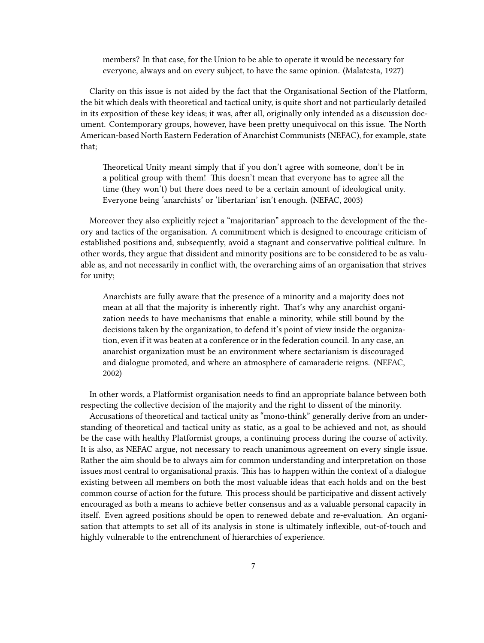members? In that case, for the Union to be able to operate it would be necessary for everyone, always and on every subject, to have the same opinion. (Malatesta, 1927)

Clarity on this issue is not aided by the fact that the Organisational Section of the Platform, the bit which deals with theoretical and tactical unity, is quite short and not particularly detailed in its exposition of these key ideas; it was, after all, originally only intended as a discussion document. Contemporary groups, however, have been pretty unequivocal on this issue. The North American-based North Eastern Federation of Anarchist Communists (NEFAC), for example, state that;

Theoretical Unity meant simply that if you don't agree with someone, don't be in a political group with them! This doesn't mean that everyone has to agree all the time (they won't) but there does need to be a certain amount of ideological unity. Everyone being 'anarchists' or 'libertarian' isn't enough. (NEFAC, 2003)

Moreover they also explicitly reject a "majoritarian" approach to the development of the theory and tactics of the organisation. A commitment which is designed to encourage criticism of established positions and, subsequently, avoid a stagnant and conservative political culture. In other words, they argue that dissident and minority positions are to be considered to be as valuable as, and not necessarily in conflict with, the overarching aims of an organisation that strives for unity;

Anarchists are fully aware that the presence of a minority and a majority does not mean at all that the majority is inherently right. That's why any anarchist organization needs to have mechanisms that enable a minority, while still bound by the decisions taken by the organization, to defend it's point of view inside the organization, even if it was beaten at a conference or in the federation council. In any case, an anarchist organization must be an environment where sectarianism is discouraged and dialogue promoted, and where an atmosphere of camaraderie reigns. (NEFAC, 2002)

In other words, a Platformist organisation needs to find an appropriate balance between both respecting the collective decision of the majority and the right to dissent of the minority.

Accusations of theoretical and tactical unity as "mono-think" generally derive from an understanding of theoretical and tactical unity as static, as a goal to be achieved and not, as should be the case with healthy Platformist groups, a continuing process during the course of activity. It is also, as NEFAC argue, not necessary to reach unanimous agreement on every single issue. Rather the aim should be to always aim for common understanding and interpretation on those issues most central to organisational praxis. This has to happen within the context of a dialogue existing between all members on both the most valuable ideas that each holds and on the best common course of action for the future. This process should be participative and dissent actively encouraged as both a means to achieve better consensus and as a valuable personal capacity in itself. Even agreed positions should be open to renewed debate and re-evaluation. An organisation that attempts to set all of its analysis in stone is ultimately inflexible, out-of-touch and highly vulnerable to the entrenchment of hierarchies of experience.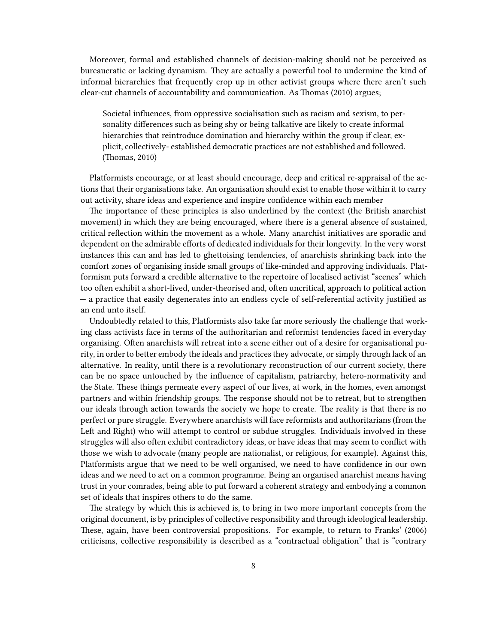Moreover, formal and established channels of decision-making should not be perceived as bureaucratic or lacking dynamism. They are actually a powerful tool to undermine the kind of informal hierarchies that frequently crop up in other activist groups where there aren't such clear-cut channels of accountability and communication. As Thomas (2010) argues;

Societal influences, from oppressive socialisation such as racism and sexism, to personality differences such as being shy or being talkative are likely to create informal hierarchies that reintroduce domination and hierarchy within the group if clear, explicit, collectively- established democratic practices are not established and followed. (Thomas, 2010)

Platformists encourage, or at least should encourage, deep and critical re-appraisal of the actions that their organisations take. An organisation should exist to enable those within it to carry out activity, share ideas and experience and inspire confidence within each member

The importance of these principles is also underlined by the context (the British anarchist movement) in which they are being encouraged, where there is a general absence of sustained, critical reflection within the movement as a whole. Many anarchist initiatives are sporadic and dependent on the admirable efforts of dedicated individuals for their longevity. In the very worst instances this can and has led to ghettoising tendencies, of anarchists shrinking back into the comfort zones of organising inside small groups of like-minded and approving individuals. Platformism puts forward a credible alternative to the repertoire of localised activist "scenes" which too often exhibit a short-lived, under-theorised and, often uncritical, approach to political action — a practice that easily degenerates into an endless cycle of self-referential activity justified as an end unto itself.

Undoubtedly related to this, Platformists also take far more seriously the challenge that working class activists face in terms of the authoritarian and reformist tendencies faced in everyday organising. Often anarchists will retreat into a scene either out of a desire for organisational purity, in order to better embody the ideals and practices they advocate, or simply through lack of an alternative. In reality, until there is a revolutionary reconstruction of our current society, there can be no space untouched by the influence of capitalism, patriarchy, hetero-normativity and the State. These things permeate every aspect of our lives, at work, in the homes, even amongst partners and within friendship groups. The response should not be to retreat, but to strengthen our ideals through action towards the society we hope to create. The reality is that there is no perfect or pure struggle. Everywhere anarchists will face reformists and authoritarians (from the Left and Right) who will attempt to control or subdue struggles. Individuals involved in these struggles will also often exhibit contradictory ideas, or have ideas that may seem to conflict with those we wish to advocate (many people are nationalist, or religious, for example). Against this, Platformists argue that we need to be well organised, we need to have confidence in our own ideas and we need to act on a common programme. Being an organised anarchist means having trust in your comrades, being able to put forward a coherent strategy and embodying a common set of ideals that inspires others to do the same.

The strategy by which this is achieved is, to bring in two more important concepts from the original document, is by principles of collective responsibility and through ideological leadership. These, again, have been controversial propositions. For example, to return to Franks' (2006) criticisms, collective responsibility is described as a "contractual obligation" that is "contrary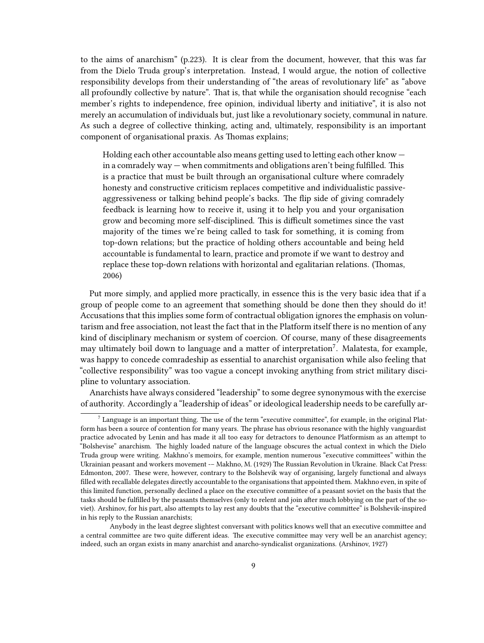to the aims of anarchism" (p.223). It is clear from the document, however, that this was far from the Dielo Truda group's interpretation. Instead, I would argue, the notion of collective responsibility develops from their understanding of "the areas of revolutionary life" as "above all profoundly collective by nature". That is, that while the organisation should recognise "each member's rights to independence, free opinion, individual liberty and initiative", it is also not merely an accumulation of individuals but, just like a revolutionary society, communal in nature. As such a degree of collective thinking, acting and, ultimately, responsibility is an important component of organisational praxis. As Thomas explains;

Holding each other accountable also means getting used to letting each other know in a comradely way — when commitments and obligations aren't being fulfilled. This is a practice that must be built through an organisational culture where comradely honesty and constructive criticism replaces competitive and individualistic passiveaggressiveness or talking behind people's backs. The flip side of giving comradely feedback is learning how to receive it, using it to help you and your organisation grow and becoming more self-disciplined. This is difficult sometimes since the vast majority of the times we're being called to task for something, it is coming from top-down relations; but the practice of holding others accountable and being held accountable is fundamental to learn, practice and promote if we want to destroy and replace these top-down relations with horizontal and egalitarian relations. (Thomas, 2006)

Put more simply, and applied more practically, in essence this is the very basic idea that if a group of people come to an agreement that something should be done then they should do it! Accusations that this implies some form of contractual obligation ignores the emphasis on voluntarism and free association, not least the fact that in the Platform itself there is no mention of any kind of disciplinary mechanism or system of coercion. Of course, many of these disagreements may ultimately boil down to language and a matter of interpretation<sup>7</sup>. Malatesta, for example, was happy to concede comradeship as essential to anarchist organisation while also feeling that "collective responsibility" was too vague a concept invoking anything from strict military discipline to voluntary association.

Anarchists have always considered "leadership" to some degree synonymous with the exercise of authority. Accordingly a "leadership of ideas" or ideological leadership needs to be carefully ar-

 $^7$  Language is an important thing. The use of the term "executive committee", for example, in the original Platform has been a source of contention for many years. The phrase has obvious resonance with the highly vanguardist practice advocated by Lenin and has made it all too easy for detractors to denounce Platformism as an attempt to "Bolshevise" anarchism. The highly loaded nature of the language obscures the actual context in which the Dielo Truda group were writing. Makhno's memoirs, for example, mention numerous "executive committees" within the Ukrainian peasant and workers movement -– Makhno, M. (1929) The Russian Revolution in Ukraine. Black Cat Press: Edmonton, 2007. These were, however, contrary to the Bolshevik way of organising, largely functional and always filled with recallable delegates directly accountable to the organisations that appointed them. Makhno even, in spite of this limited function, personally declined a place on the executive committee of a peasant soviet on the basis that the tasks should be fulfilled by the peasants themselves (only to relent and join after much lobbying on the part of the soviet). Arshinov, for his part, also attempts to lay rest any doubts that the "executive committee" is Bolshevik-inspired in his reply to the Russian anarchists;

Anybody in the least degree slightest conversant with politics knows well that an executive committee and a central committee are two quite different ideas. The executive committee may very well be an anarchist agency; indeed, such an organ exists in many anarchist and anarcho-syndicalist organizations. (Arshinov, 1927)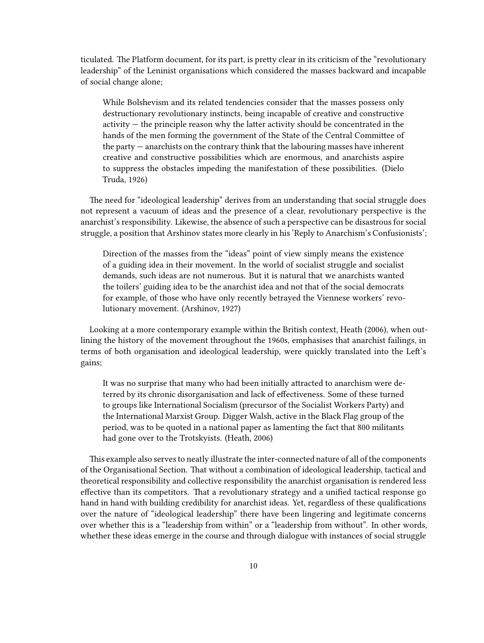ticulated. The Platform document, for its part, is pretty clear in its criticism of the "revolutionary leadership" of the Leninist organisations which considered the masses backward and incapable of social change alone;

While Bolshevism and its related tendencies consider that the masses possess only destructionary revolutionary instincts, being incapable of creative and constructive activity — the principle reason why the latter activity should be concentrated in the hands of the men forming the government of the State of the Central Committee of the party — anarchists on the contrary think that the labouring masses have inherent creative and constructive possibilities which are enormous, and anarchists aspire to suppress the obstacles impeding the manifestation of these possibilities. (Dielo Truda, 1926)

The need for "ideological leadership" derives from an understanding that social struggle does not represent a vacuum of ideas and the presence of a clear, revolutionary perspective is the anarchist's responsibility. Likewise, the absence of such a perspective can be disastrous for social struggle, a position that Arshinov states more clearly in his 'Reply to Anarchism's Confusionists';

Direction of the masses from the "ideas" point of view simply means the existence of a guiding idea in their movement. In the world of socialist struggle and socialist demands, such ideas are not numerous. But it is natural that we anarchists wanted the toilers' guiding idea to be the anarchist idea and not that of the social democrats for example, of those who have only recently betrayed the Viennese workers' revolutionary movement. (Arshinov, 1927)

Looking at a more contemporary example within the British context, Heath (2006), when outlining the history of the movement throughout the 1960s, emphasises that anarchist failings, in terms of both organisation and ideological leadership, were quickly translated into the Left's gains;

It was no surprise that many who had been initially attracted to anarchism were deterred by its chronic disorganisation and lack of effectiveness. Some of these turned to groups like International Socialism (precursor of the Socialist Workers Party) and the International Marxist Group. Digger Walsh, active in the Black Flag group of the period, was to be quoted in a national paper as lamenting the fact that 800 militants had gone over to the Trotskyists. (Heath, 2006)

This example also serves to neatly illustrate the inter-connected nature of all of the components of the Organisational Section. That without a combination of ideological leadership, tactical and theoretical responsibility and collective responsibility the anarchist organisation is rendered less effective than its competitors. That a revolutionary strategy and a unified tactical response go hand in hand with building credibility for anarchist ideas. Yet, regardless of these qualifications over the nature of "ideological leadership" there have been lingering and legitimate concerns over whether this is a "leadership from within" or a "leadership from without". In other words, whether these ideas emerge in the course and through dialogue with instances of social struggle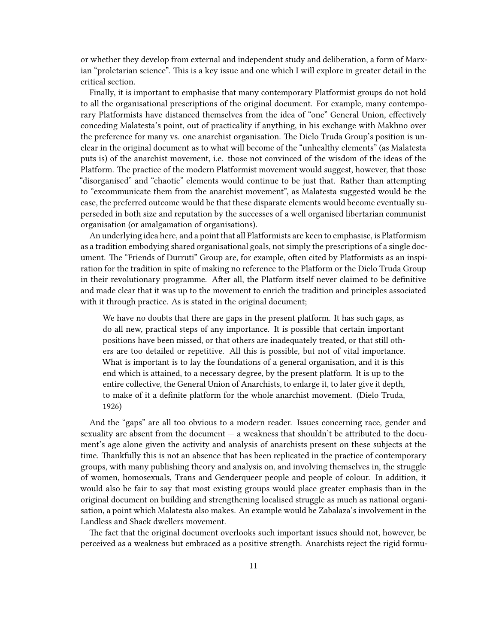or whether they develop from external and independent study and deliberation, a form of Marxian "proletarian science". This is a key issue and one which I will explore in greater detail in the critical section.

Finally, it is important to emphasise that many contemporary Platformist groups do not hold to all the organisational prescriptions of the original document. For example, many contemporary Platformists have distanced themselves from the idea of "one" General Union, effectively conceding Malatesta's point, out of practicality if anything, in his exchange with Makhno over the preference for many vs. one anarchist organisation. The Dielo Truda Group's position is unclear in the original document as to what will become of the "unhealthy elements" (as Malatesta puts is) of the anarchist movement, i.e. those not convinced of the wisdom of the ideas of the Platform. The practice of the modern Platformist movement would suggest, however, that those "disorganised" and "chaotic" elements would continue to be just that. Rather than attempting to "excommunicate them from the anarchist movement", as Malatesta suggested would be the case, the preferred outcome would be that these disparate elements would become eventually superseded in both size and reputation by the successes of a well organised libertarian communist organisation (or amalgamation of organisations).

An underlying idea here, and a point that all Platformists are keen to emphasise, is Platformism as a tradition embodying shared organisational goals, not simply the prescriptions of a single document. The "Friends of Durruti" Group are, for example, often cited by Platformists as an inspiration for the tradition in spite of making no reference to the Platform or the Dielo Truda Group in their revolutionary programme. After all, the Platform itself never claimed to be definitive and made clear that it was up to the movement to enrich the tradition and principles associated with it through practice. As is stated in the original document;

We have no doubts that there are gaps in the present platform. It has such gaps, as do all new, practical steps of any importance. It is possible that certain important positions have been missed, or that others are inadequately treated, or that still others are too detailed or repetitive. All this is possible, but not of vital importance. What is important is to lay the foundations of a general organisation, and it is this end which is attained, to a necessary degree, by the present platform. It is up to the entire collective, the General Union of Anarchists, to enlarge it, to later give it depth, to make of it a definite platform for the whole anarchist movement. (Dielo Truda, 1926)

And the "gaps" are all too obvious to a modern reader. Issues concerning race, gender and sexuality are absent from the document — a weakness that shouldn't be attributed to the document's age alone given the activity and analysis of anarchists present on these subjects at the time. Thankfully this is not an absence that has been replicated in the practice of contemporary groups, with many publishing theory and analysis on, and involving themselves in, the struggle of women, homosexuals, Trans and Genderqueer people and people of colour. In addition, it would also be fair to say that most existing groups would place greater emphasis than in the original document on building and strengthening localised struggle as much as national organisation, a point which Malatesta also makes. An example would be Zabalaza's involvement in the Landless and Shack dwellers movement.

The fact that the original document overlooks such important issues should not, however, be perceived as a weakness but embraced as a positive strength. Anarchists reject the rigid formu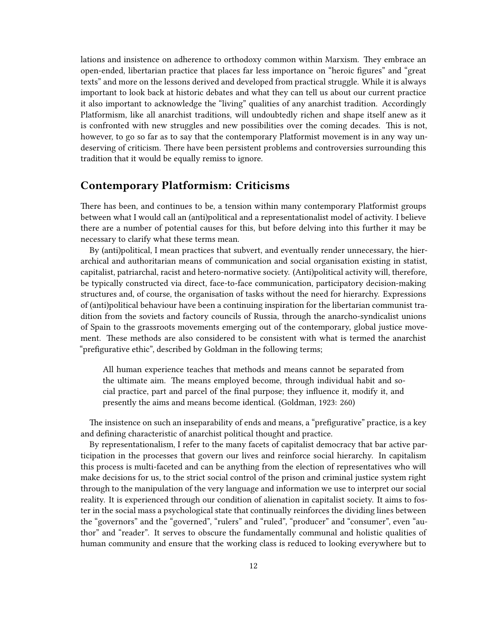lations and insistence on adherence to orthodoxy common within Marxism. They embrace an open-ended, libertarian practice that places far less importance on "heroic figures" and "great texts" and more on the lessons derived and developed from practical struggle. While it is always important to look back at historic debates and what they can tell us about our current practice it also important to acknowledge the "living" qualities of any anarchist tradition. Accordingly Platformism, like all anarchist traditions, will undoubtedly richen and shape itself anew as it is confronted with new struggles and new possibilities over the coming decades. This is not, however, to go so far as to say that the contemporary Platformist movement is in any way undeserving of criticism. There have been persistent problems and controversies surrounding this tradition that it would be equally remiss to ignore.

#### <span id="page-11-0"></span>**Contemporary Platformism: Criticisms**

There has been, and continues to be, a tension within many contemporary Platformist groups between what I would call an (anti)political and a representationalist model of activity. I believe there are a number of potential causes for this, but before delving into this further it may be necessary to clarify what these terms mean.

By (anti)political, I mean practices that subvert, and eventually render unnecessary, the hierarchical and authoritarian means of communication and social organisation existing in statist, capitalist, patriarchal, racist and hetero-normative society. (Anti)political activity will, therefore, be typically constructed via direct, face-to-face communication, participatory decision-making structures and, of course, the organisation of tasks without the need for hierarchy. Expressions of (anti)political behaviour have been a continuing inspiration for the libertarian communist tradition from the soviets and factory councils of Russia, through the anarcho-syndicalist unions of Spain to the grassroots movements emerging out of the contemporary, global justice movement. These methods are also considered to be consistent with what is termed the anarchist "prefigurative ethic", described by Goldman in the following terms;

All human experience teaches that methods and means cannot be separated from the ultimate aim. The means employed become, through individual habit and social practice, part and parcel of the final purpose; they influence it, modify it, and presently the aims and means become identical. (Goldman, 1923: 260)

The insistence on such an inseparability of ends and means, a "prefigurative" practice, is a key and defining characteristic of anarchist political thought and practice.

By representationalism, I refer to the many facets of capitalist democracy that bar active participation in the processes that govern our lives and reinforce social hierarchy. In capitalism this process is multi-faceted and can be anything from the election of representatives who will make decisions for us, to the strict social control of the prison and criminal justice system right through to the manipulation of the very language and information we use to interpret our social reality. It is experienced through our condition of alienation in capitalist society. It aims to foster in the social mass a psychological state that continually reinforces the dividing lines between the "governors" and the "governed", "rulers" and "ruled", "producer" and "consumer", even "author" and "reader". It serves to obscure the fundamentally communal and holistic qualities of human community and ensure that the working class is reduced to looking everywhere but to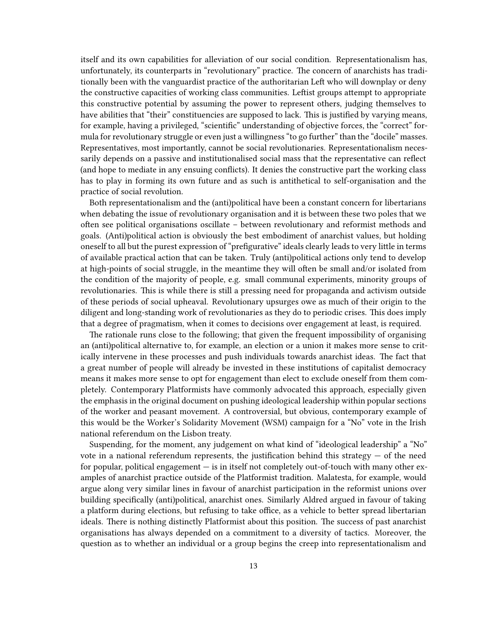itself and its own capabilities for alleviation of our social condition. Representationalism has, unfortunately, its counterparts in "revolutionary" practice. The concern of anarchists has traditionally been with the vanguardist practice of the authoritarian Left who will downplay or deny the constructive capacities of working class communities. Leftist groups attempt to appropriate this constructive potential by assuming the power to represent others, judging themselves to have abilities that "their" constituencies are supposed to lack. This is justified by varying means, for example, having a privileged, "scientific" understanding of objective forces, the "correct" formula for revolutionary struggle or even just a willingness "to go further" than the "docile" masses. Representatives, most importantly, cannot be social revolutionaries. Representationalism necessarily depends on a passive and institutionalised social mass that the representative can reflect (and hope to mediate in any ensuing conflicts). It denies the constructive part the working class has to play in forming its own future and as such is antithetical to self-organisation and the practice of social revolution.

Both representationalism and the (anti)political have been a constant concern for libertarians when debating the issue of revolutionary organisation and it is between these two poles that we often see political organisations oscillate – between revolutionary and reformist methods and goals. (Anti)political action is obviously the best embodiment of anarchist values, but holding oneself to all but the purest expression of "prefigurative" ideals clearly leads to very little in terms of available practical action that can be taken. Truly (anti)political actions only tend to develop at high-points of social struggle, in the meantime they will often be small and/or isolated from the condition of the majority of people, e.g. small communal experiments, minority groups of revolutionaries. This is while there is still a pressing need for propaganda and activism outside of these periods of social upheaval. Revolutionary upsurges owe as much of their origin to the diligent and long-standing work of revolutionaries as they do to periodic crises. This does imply that a degree of pragmatism, when it comes to decisions over engagement at least, is required.

The rationale runs close to the following; that given the frequent impossibility of organising an (anti)political alternative to, for example, an election or a union it makes more sense to critically intervene in these processes and push individuals towards anarchist ideas. The fact that a great number of people will already be invested in these institutions of capitalist democracy means it makes more sense to opt for engagement than elect to exclude oneself from them completely. Contemporary Platformists have commonly advocated this approach, especially given the emphasis in the original document on pushing ideological leadership within popular sections of the worker and peasant movement. A controversial, but obvious, contemporary example of this would be the Worker's Solidarity Movement (WSM) campaign for a "No" vote in the Irish national referendum on the Lisbon treaty.

Suspending, for the moment, any judgement on what kind of "ideological leadership" a "No" vote in a national referendum represents, the justification behind this strategy  $-$  of the need for popular, political engagement — is in itself not completely out-of-touch with many other examples of anarchist practice outside of the Platformist tradition. Malatesta, for example, would argue along very similar lines in favour of anarchist participation in the reformist unions over building specifically (anti)political, anarchist ones. Similarly Aldred argued in favour of taking a platform during elections, but refusing to take office, as a vehicle to better spread libertarian ideals. There is nothing distinctly Platformist about this position. The success of past anarchist organisations has always depended on a commitment to a diversity of tactics. Moreover, the question as to whether an individual or a group begins the creep into representationalism and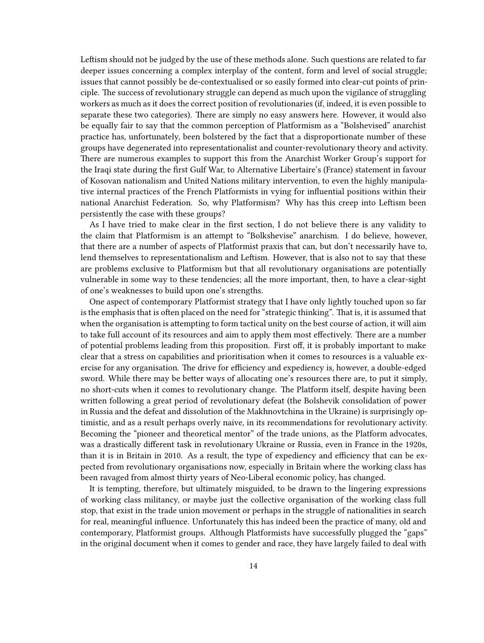Leftism should not be judged by the use of these methods alone. Such questions are related to far deeper issues concerning a complex interplay of the content, form and level of social struggle; issues that cannot possibly be de-contextualised or so easily formed into clear-cut points of principle. The success of revolutionary struggle can depend as much upon the vigilance of struggling workers as much as it does the correct position of revolutionaries (if, indeed, it is even possible to separate these two categories). There are simply no easy answers here. However, it would also be equally fair to say that the common perception of Platformism as a "Bolshevised" anarchist practice has, unfortunately, been bolstered by the fact that a disproportionate number of these groups have degenerated into representationalist and counter-revolutionary theory and activity. There are numerous examples to support this from the Anarchist Worker Group's support for the Iraqi state during the first Gulf War, to Alternative Libertaire's (France) statement in favour of Kosovan nationalism and United Nations military intervention, to even the highly manipulative internal practices of the French Platformists in vying for influential positions within their national Anarchist Federation. So, why Platformism? Why has this creep into Leftism been persistently the case with these groups?

As I have tried to make clear in the first section, I do not believe there is any validity to the claim that Platformism is an attempt to "Bolkshevise" anarchism. I do believe, however, that there are a number of aspects of Platformist praxis that can, but don't necessarily have to, lend themselves to representationalism and Leftism. However, that is also not to say that these are problems exclusive to Platformism but that all revolutionary organisations are potentially vulnerable in some way to these tendencies; all the more important, then, to have a clear-sight of one's weaknesses to build upon one's strengths.

One aspect of contemporary Platformist strategy that I have only lightly touched upon so far is the emphasis that is often placed on the need for "strategic thinking". That is, it is assumed that when the organisation is attempting to form tactical unity on the best course of action, it will aim to take full account of its resources and aim to apply them most effectively. There are a number of potential problems leading from this proposition. First off, it is probably important to make clear that a stress on capabilities and prioritisation when it comes to resources is a valuable exercise for any organisation. The drive for efficiency and expediency is, however, a double-edged sword. While there may be better ways of allocating one's resources there are, to put it simply, no short-cuts when it comes to revolutionary change. The Platform itself, despite having been written following a great period of revolutionary defeat (the Bolshevik consolidation of power in Russia and the defeat and dissolution of the Makhnovtchina in the Ukraine) is surprisingly optimistic, and as a result perhaps overly naive, in its recommendations for revolutionary activity. Becoming the "pioneer and theoretical mentor" of the trade unions, as the Platform advocates, was a drastically different task in revolutionary Ukraine or Russia, even in France in the 1920s, than it is in Britain in 2010. As a result, the type of expediency and efficiency that can be expected from revolutionary organisations now, especially in Britain where the working class has been ravaged from almost thirty years of Neo-Liberal economic policy, has changed.

It is tempting, therefore, but ultimately misguided, to be drawn to the lingering expressions of working class militancy, or maybe just the collective organisation of the working class full stop, that exist in the trade union movement or perhaps in the struggle of nationalities in search for real, meaningful influence. Unfortunately this has indeed been the practice of many, old and contemporary, Platformist groups. Although Platformists have successfully plugged the "gaps" in the original document when it comes to gender and race, they have largely failed to deal with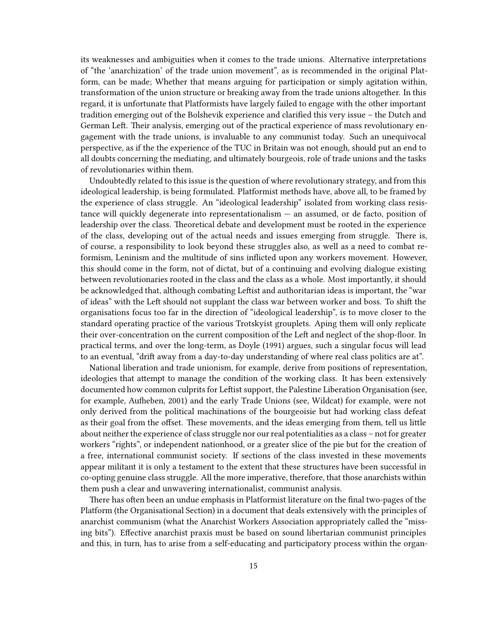its weaknesses and ambiguities when it comes to the trade unions. Alternative interpretations of "the 'anarchization' of the trade union movement", as is recommended in the original Platform, can be made; Whether that means arguing for participation or simply agitation within, transformation of the union structure or breaking away from the trade unions altogether. In this regard, it is unfortunate that Platformists have largely failed to engage with the other important tradition emerging out of the Bolshevik experience and clarified this very issue – the Dutch and German Left. Their analysis, emerging out of the practical experience of mass revolutionary engagement with the trade unions, is invaluable to any communist today. Such an unequivocal perspective, as if the the experience of the TUC in Britain was not enough, should put an end to all doubts concerning the mediating, and ultimately bourgeois, role of trade unions and the tasks of revolutionaries within them.

Undoubtedly related to this issue is the question of where revolutionary strategy, and from this ideological leadership, is being formulated. Platformist methods have, above all, to be framed by the experience of class struggle. An "ideological leadership" isolated from working class resistance will quickly degenerate into representationalism — an assumed, or de facto, position of leadership over the class. Theoretical debate and development must be rooted in the experience of the class, developing out of the actual needs and issues emerging from struggle. There is, of course, a responsibility to look beyond these struggles also, as well as a need to combat reformism, Leninism and the multitude of sins inflicted upon any workers movement. However, this should come in the form, not of dictat, but of a continuing and evolving dialogue existing between revolutionaries rooted in the class and the class as a whole. Most importantly, it should be acknowledged that, although combating Leftist and authoritarian ideas is important, the "war of ideas" with the Left should not supplant the class war between worker and boss. To shift the organisations focus too far in the direction of "ideological leadership", is to move closer to the standard operating practice of the various Trotskyist grouplets. Aping them will only replicate their over-concentration on the current composition of the Left and neglect of the shop-floor. In practical terms, and over the long-term, as Doyle (1991) argues, such a singular focus will lead to an eventual, "drift away from a day-to-day understanding of where real class politics are at".

National liberation and trade unionism, for example, derive from positions of representation, ideologies that attempt to manage the condition of the working class. It has been extensively documented how common culprits for Leftist support, the Palestine Liberation Organisation (see, for example, Aufheben, 2001) and the early Trade Unions (see, Wildcat) for example, were not only derived from the political machinations of the bourgeoisie but had working class defeat as their goal from the offset. These movements, and the ideas emerging from them, tell us little about neither the experience of class struggle nor our real potentialities as a class – not for greater workers "rights", or independent nationhood, or a greater slice of the pie but for the creation of a free, international communist society. If sections of the class invested in these movements appear militant it is only a testament to the extent that these structures have been successful in co-opting genuine class struggle. All the more imperative, therefore, that those anarchists within them push a clear and unwavering internationalist, communist analysis.

There has often been an undue emphasis in Platformist literature on the final two-pages of the Platform (the Organisational Section) in a document that deals extensively with the principles of anarchist communism (what the Anarchist Workers Association appropriately called the "missing bits"). Effective anarchist praxis must be based on sound libertarian communist principles and this, in turn, has to arise from a self-educating and participatory process within the organ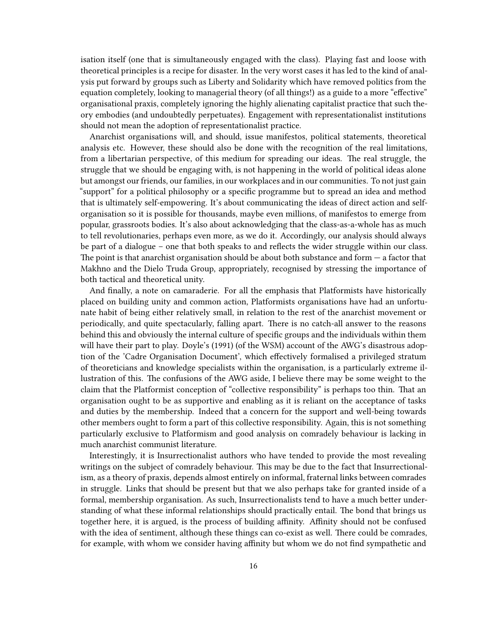isation itself (one that is simultaneously engaged with the class). Playing fast and loose with theoretical principles is a recipe for disaster. In the very worst cases it has led to the kind of analysis put forward by groups such as Liberty and Solidarity which have removed politics from the equation completely, looking to managerial theory (of all things!) as a guide to a more "effective" organisational praxis, completely ignoring the highly alienating capitalist practice that such theory embodies (and undoubtedly perpetuates). Engagement with representationalist institutions should not mean the adoption of representationalist practice.

Anarchist organisations will, and should, issue manifestos, political statements, theoretical analysis etc. However, these should also be done with the recognition of the real limitations, from a libertarian perspective, of this medium for spreading our ideas. The real struggle, the struggle that we should be engaging with, is not happening in the world of political ideas alone but amongst our friends, our families, in our workplaces and in our communities. To not just gain "support" for a political philosophy or a specific programme but to spread an idea and method that is ultimately self-empowering. It's about communicating the ideas of direct action and selforganisation so it is possible for thousands, maybe even millions, of manifestos to emerge from popular, grassroots bodies. It's also about acknowledging that the class-as-a-whole has as much to tell revolutionaries, perhaps even more, as we do it. Accordingly, our analysis should always be part of a dialogue – one that both speaks to and reflects the wider struggle within our class. The point is that anarchist organisation should be about both substance and form  $-$  a factor that Makhno and the Dielo Truda Group, appropriately, recognised by stressing the importance of both tactical and theoretical unity.

And finally, a note on camaraderie. For all the emphasis that Platformists have historically placed on building unity and common action, Platformists organisations have had an unfortunate habit of being either relatively small, in relation to the rest of the anarchist movement or periodically, and quite spectacularly, falling apart. There is no catch-all answer to the reasons behind this and obviously the internal culture of specific groups and the individuals within them will have their part to play. Doyle's (1991) (of the WSM) account of the AWG's disastrous adoption of the 'Cadre Organisation Document', which effectively formalised a privileged stratum of theoreticians and knowledge specialists within the organisation, is a particularly extreme illustration of this. The confusions of the AWG aside, I believe there may be some weight to the claim that the Platformist conception of "collective responsibility" is perhaps too thin. That an organisation ought to be as supportive and enabling as it is reliant on the acceptance of tasks and duties by the membership. Indeed that a concern for the support and well-being towards other members ought to form a part of this collective responsibility. Again, this is not something particularly exclusive to Platformism and good analysis on comradely behaviour is lacking in much anarchist communist literature.

Interestingly, it is Insurrectionalist authors who have tended to provide the most revealing writings on the subject of comradely behaviour. This may be due to the fact that Insurrectionalism, as a theory of praxis, depends almost entirely on informal, fraternal links between comrades in struggle. Links that should be present but that we also perhaps take for granted inside of a formal, membership organisation. As such, Insurrectionalists tend to have a much better understanding of what these informal relationships should practically entail. The bond that brings us together here, it is argued, is the process of building affinity. Affinity should not be confused with the idea of sentiment, although these things can co-exist as well. There could be comrades, for example, with whom we consider having affinity but whom we do not find sympathetic and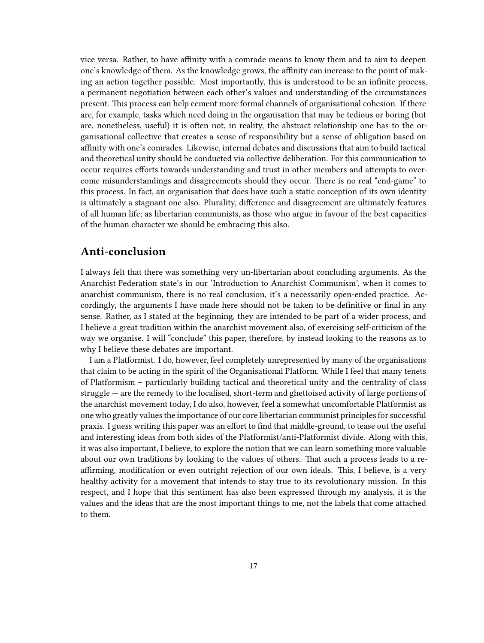vice versa. Rather, to have affinity with a comrade means to know them and to aim to deepen one's knowledge of them. As the knowledge grows, the affinity can increase to the point of making an action together possible. Most importantly, this is understood to be an infinite process, a permanent negotiation between each other's values and understanding of the circumstances present. This process can help cement more formal channels of organisational cohesion. If there are, for example, tasks which need doing in the organisation that may be tedious or boring (but are, nonetheless, useful) it is often not, in reality, the abstract relationship one has to the organisational collective that creates a sense of responsibility but a sense of obligation based on affinity with one's comrades. Likewise, internal debates and discussions that aim to build tactical and theoretical unity should be conducted via collective deliberation. For this communication to occur requires efforts towards understanding and trust in other members and attempts to overcome misunderstandings and disagreements should they occur. There is no real "end-game" to this process. In fact, an organisation that does have such a static conception of its own identity is ultimately a stagnant one also. Plurality, difference and disagreement are ultimately features of all human life; as libertarian communists, as those who argue in favour of the best capacities of the human character we should be embracing this also.

#### <span id="page-16-0"></span>**Anti-conclusion**

I always felt that there was something very un-libertarian about concluding arguments. As the Anarchist Federation state's in our 'Introduction to Anarchist Communism', when it comes to anarchist communism, there is no real conclusion, it's a necessarily open-ended practice. Accordingly, the arguments I have made here should not be taken to be definitive or final in any sense. Rather, as I stated at the beginning, they are intended to be part of a wider process, and I believe a great tradition within the anarchist movement also, of exercising self-criticism of the way we organise. I will "conclude" this paper, therefore, by instead looking to the reasons as to why I believe these debates are important.

I am a Platformist. I do, however, feel completely unrepresented by many of the organisations that claim to be acting in the spirit of the Organisational Platform. While I feel that many tenets of Platformism – particularly building tactical and theoretical unity and the centrality of class struggle — are the remedy to the localised, short-term and ghettoised activity of large portions of the anarchist movement today, I do also, however, feel a somewhat uncomfortable Platformist as one who greatly values the importance of our core libertarian communist principles for successful praxis. I guess writing this paper was an effort to find that middle-ground, to tease out the useful and interesting ideas from both sides of the Platformist/anti-Platformist divide. Along with this, it was also important, I believe, to explore the notion that we can learn something more valuable about our own traditions by looking to the values of others. That such a process leads to a reaffirming, modification or even outright rejection of our own ideals. This, I believe, is a very healthy activity for a movement that intends to stay true to its revolutionary mission. In this respect, and I hope that this sentiment has also been expressed through my analysis, it is the values and the ideas that are the most important things to me, not the labels that come attached to them.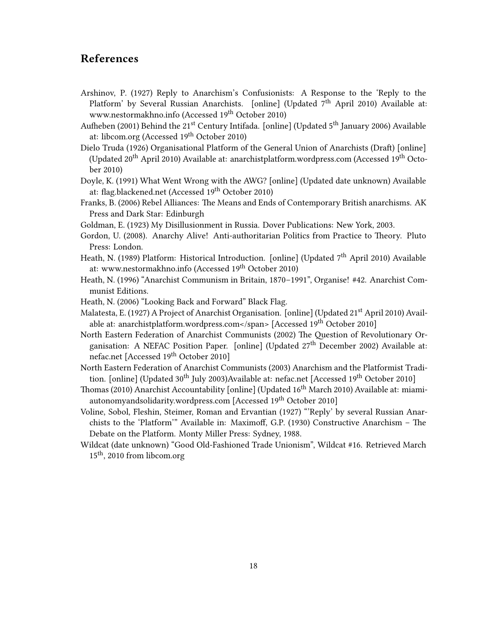## <span id="page-17-0"></span>**References**

- Arshinov, P. (1927) Reply to Anarchism's Confusionists: A Response to the 'Reply to the Platform' by Several Russian Anarchists. [online] (Updated  $7<sup>th</sup>$  April 2010) Available at: [www.nestormakhno.info](http://www.nestormakhno.info/english/confus.htm) (Accessed 19<sup>th</sup> October 2010)
- Aufheben (2001) Behind the 21<sup>st</sup> Century Intifada. [online] (Updated 5<sup>th</sup> January 2006) Available at: [libcom.org](http://libcom.org/library/21%3Csup%3Est%3C/sup%3E-century-intifada-israel-palestine-aufheben) (Accessed 19<sup>th</sup> October 2010)
- Dielo Truda (1926) Organisational Platform of the General Union of Anarchists (Draft) [online] (Updated 20<sup>th</sup> April 2010) Available at: [anarchistplatform.wordpress.com](http://anarchistplatform.wordpress.com/2010/04/20/organisational-platform-of-the-general-union-of-anarchists-draft/) (Accessed 19<sup>th</sup> October 2010)
- Doyle, K. (1991) What Went Wrong with the AWG? [online] (Updated date unknown) Available at: [flag.blackened.net](http://flag.blackened.net/revolt/awg/awg_wrong_kevin.html) (Accessed 19<sup>th</sup> October 2010)

Franks, B. (2006) Rebel Alliances: The Means and Ends of Contemporary British anarchisms. AK Press and Dark Star: Edinburgh

- Goldman, E. (1923) My Disillusionment in Russia. Dover Publications: New York, 2003.
- Gordon, U. (2008). Anarchy Alive! Anti-authoritarian Politics from Practice to Theory. Pluto Press: London.
- Heath, N. (1989) Platform: Historical Introduction. [online] (Updated 7<sup>th</sup> April 2010) Available at: [www.nestormakhno.info](http://www.nestormakhno.info/english/platform/platintro_nh.htm) (Accessed 19<sup>th</sup> October 2010)
- Heath, N. (1996) "Anarchist Communism in Britain, 1870–1991", Organise! #42. Anarchist Communist Editions.
- Heath, N. (2006) "Looking Back and Forward" Black Flag.
- Malatesta, E. (1927) A Project of Anarchist Organisation. [online] (Updated 21<sup>st</sup> April 2010) Available at: [anarchistplatform.wordpress.com<](http://anarchistplatform.wordpress.com/2010/04/21/a-project-of-anarchist-organisation-by-errico-malatesta/)/span> [Accessed 19<sup>th</sup> October 2010]
- North Eastern Federation of Anarchist Communists (2002) The Question of Revolutionary Organisation: A NEFAC Position Paper. [online] (Updated 27<sup>th</sup> December 2002) Available at: [nefac.net](http://nefac.net/node/197) [Accessed 19<sup>th</sup> October 2010]
- North Eastern Federation of Anarchist Communists (2003) Anarchism and the Platformist Tradition. [online] (Updated 30<sup>th</sup> July 2003)Available at: [nefac.net](http://nefac.net/node/544) [Accessed 19<sup>th</sup> October 2010]
- Thomas (2010) Anarchist Accountability [online] (Updated 16th March 2010) Available at: [miami](http://miamiautonomyandsolidarity.wordpress.com/2010/03/16/anarchist-accountability/)[autonomyandsolidarity.wordpress.com](http://miamiautonomyandsolidarity.wordpress.com/2010/03/16/anarchist-accountability/) [Accessed 19<sup>th</sup> October 2010]
- Voline, Sobol, Fleshin, Steimer, Roman and Ervantian (1927) "'Reply' by several Russian Anarchists to the 'Platform'" Available in: Maximoff, G.P. (1930) Constructive Anarchism – The Debate on the Platform. Monty Miller Press: Sydney, 1988.
- Wildcat (date unknown) "Good Old-Fashioned Trade Unionism", Wildcat #16. Retrieved March 15<sup>th</sup>, 2010 from [libcom.org](http://libcom.org/library/good-old-fashioned-trade-unionism-wildcat)